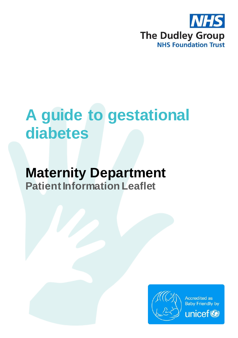

# **A guide to gestational diabetes**

## **Maternity Department Patient Information Leaflet**

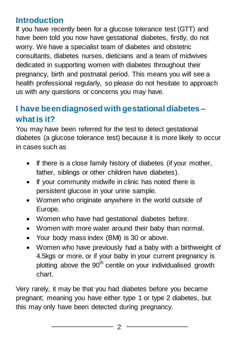## **Introduction**

If you have recently been for a glucose tolerance test (GTT) and have been told you now have gestational diabetes, firstly, do not worry. We have a specialist team of diabetes and obstetric consultants, diabetes nurses, dieticians and a team of midwives dedicated in supporting women with diabetes throughout their pregnancy, birth and postnatal period. This means you will see a health professional regularly, so please do not hesitate to approach us with any questions or concerns you may have.

## **I have been diagnosed with gestational diabetes – what is it?**

You may have been referred for the test to detect gestational diabetes (a glucose tolerance test) because it is more likely to occur in cases such as

- If there is a close family history of diabetes (if your mother, father, siblings or other children have diabetes).
- If your community midwife in clinic has noted there is persistent glucose in your urine sample.
- Women who originate anywhere in the world outside of Europe.
- Women who have had gestational diabetes before.
- Women with more water around their baby than normal.
- Your body mass index (BMI) is 30 or above.
- Women who have previously had a baby with a birthweight of 4.5kgs or more, or if your baby in your current pregnancy is plotting above the  $90<sup>th</sup>$  centile on your individualised growth chart.

Very rarely, it may be that you had diabetes before you became pregnant; meaning you have either type 1 or type 2 diabetes, but this may only have been detected during pregnancy.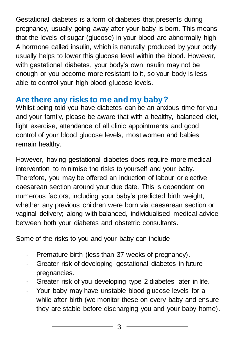Gestational diabetes is a form of diabetes that presents during pregnancy, usually going away after your baby is born. This means that the levels of sugar (glucose) in your blood are abnormally high. A hormone called insulin, which is naturally produced by your body usually helps to lower this glucose level within the blood. However, with gestational diabetes, your body's own insulin may not be enough or you become more resistant to it, so your body is less able to control your high blood glucose levels.

## **Are there any risks to me and my baby?**

Whilst being told you have diabetes can be an anxious time for you and your family, please be aware that with a healthy, balanced diet, light exercise, attendance of all clinic appointments and good control of your blood glucose levels, most women and babies remain healthy.

However, having gestational diabetes does require more medical intervention to minimise the risks to yourself and your baby. Therefore, you may be offered an induction of labour or elective caesarean section around your due date. This is dependent on numerous factors, including your baby's predicted birth weight, whether any previous children were born via caesarean section or vaginal delivery; along with balanced, individualised medical advice between both your diabetes and obstetric consultants.

Some of the risks to you and your baby can include

- Premature birth (less than 37 weeks of pregnancy).
- Greater risk of developing gestational diabetes in future pregnancies.
- Greater risk of you developing type 2 diabetes later in life.
- Your baby may have unstable blood glucose levels for a while after birth (we monitor these on every baby and ensure they are stable before discharging you and your baby home).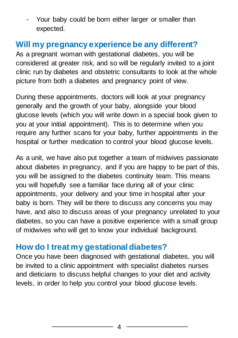- Your baby could be born either larger or smaller than expected.

## **Will my pregnancy experience be any different?**

As a pregnant woman with gestational diabetes, you will be considered at greater risk, and so will be regularly invited to a joint clinic run by diabetes and obstetric consultants to look at the whole picture from both a diabetes and pregnancy point of view.

During these appointments, doctors will look at your pregnancy generally and the growth of your baby, alongside your blood glucose levels (which you will write down in a special book given to you at your initial appointment). This is to determine when you require any further scans for your baby, further appointments in the hospital or further medication to control your blood glucose levels.

As a unit, we have also put together a team of midwives passionate about diabetes in pregnancy, and if you are happy to be part of this, you will be assigned to the diabetes continuity team. This means you will hopefully see a familiar face during all of your clinic appointments, your delivery and your time in hospital after your baby is born. They will be there to discuss any concerns you may have, and also to discuss areas of your pregnancy unrelated to your diabetes, so you can have a positive experience with a small group of midwives who will get to know your individual background.

#### **How do I treat my gestational diabetes?**

Once you have been diagnosed with gestational diabetes, you will be invited to a clinic appointment with specialist diabetes nurses and dieticians to discuss helpful changes to your diet and activity levels, in order to help you control your blood glucose levels.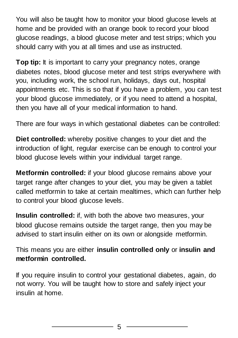You will also be taught how to monitor your blood glucose levels at home and be provided with an orange book to record your blood glucose readings, a blood glucose meter and test strips; which you should carry with you at all times and use as instructed.

**Top tip:** It is important to carry your pregnancy notes, orange diabetes notes, blood glucose meter and test strips everywhere with you, including work, the school run, holidays, days out, hospital appointments etc. This is so that if you have a problem, you can test your blood glucose immediately, or if you need to attend a hospital, then you have all of your medical information to hand.

There are four ways in which gestational diabetes can be controlled:

**Diet controlled:** whereby positive changes to your diet and the introduction of light, regular exercise can be enough to control your blood glucose levels within your individual target range.

**Metformin controlled:** if your blood glucose remains above your target range after changes to your diet, you may be given a tablet called metformin to take at certain mealtimes, which can further help to control your blood glucose levels.

**Insulin controlled:** if, with both the above two measures, your blood glucose remains outside the target range, then you may be advised to start insulin either on its own or alongside metformin.

This means you are either **insulin controlled only** or **insulin and metformin controlled.**

If you require insulin to control your gestational diabetes, again, do not worry. You will be taught how to store and safely inject your insulin at home.

5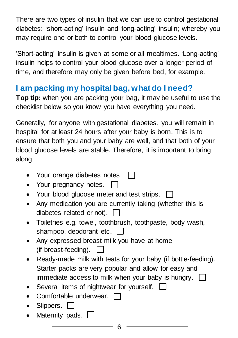There are two types of insulin that we can use to control gestational diabetes: 'short-acting' insulin and 'long-acting' insulin; whereby you may require one or both to control your blood glucose levels.

'Short-acting' insulin is given at some or all mealtimes. 'Long-acting' insulin helps to control your blood glucose over a longer period of time, and therefore may only be given before bed, for example.

## **I am packing my hospital bag, what do I need?**

**Top tip:** when you are packing your bag, it may be useful to use the checklist below so you know you have everything you need.

Generally, for anyone with gestational diabetes, you will remain in hospital for at least 24 hours after your baby is born. This is to ensure that both you and your baby are well, and that both of your blood glucose levels are stable. Therefore, it is important to bring along

- Your orange diabetes notes.  $\Box$
- Your pregnancy notes.  $\Box$
- Your blood glucose meter and test strips.  $\Box$
- Any medication you are currently taking (whether this is diabetes related or not).  $\Box$
- Toiletries e.g. towel, toothbrush, toothpaste, body wash, shampoo, deodorant etc.
- Any expressed breast milk you have at home (if breast-feeding).  $\Box$
- Ready-made milk with teats for your baby (if bottle-feeding). Starter packs are very popular and allow for easy and immediate access to milk when your baby is hungry.  $\Box$
- Several items of nightwear for yourself. [
- Comfortable underwear. [
- $\bullet$  Slippers.  $\Box$
- Maternity pads.  $\Box$

6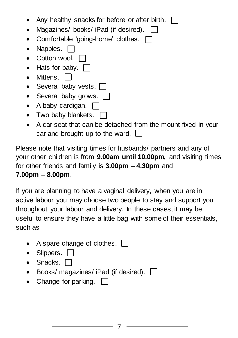| Any healthy snacks for before or after birth. $\Box$         |
|--------------------------------------------------------------|
| Magazines/ books/ iPad (if desired).                         |
| • Comfortable 'going-home' clothes. $\Box$                   |
| Nappies. $\Box$                                              |
| • Cotton wool. $\Box$                                        |
| • Hats for baby. $\Box$                                      |
| Mittens.                                                     |
| • Several baby vests.                                        |
| • Several baby grows.                                        |
| A baby cardigan.                                             |
| • Two baby blankets. $\Box$                                  |
| A car seat that can be detached from the mount fixed in your |
|                                                              |

car and brought up to the ward.  $\Box$ 

Please note that visiting times for husbands/ partners and any of your other children is from **9.00am until 10.00pm,** and visiting times for other friends and family is **3.00pm – 4.30pm** and **7.00pm – 8.00pm**.

If you are planning to have a vaginal delivery, when you are in active labour you may choose two people to stay and support you throughout your labour and delivery. In these cases, it may be useful to ensure they have a little bag with some of their essentials, such as

- A spare change of clothes.  $\Box$
- Slippers.  $\Box$
- $\bullet$  Snacks.  $\Box$
- Books/ magazines/ iPad (if desired).  $\Box$
- Change for parking. [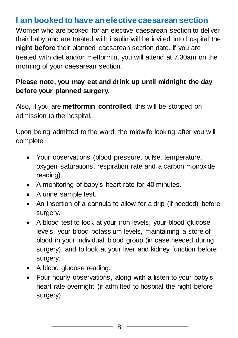#### **I am booked to have an elective caesarean section**

Women who are booked for an elective caesarean section to deliver their baby and are treated with insulin will be invited into hospital the **night before** their planned caesarean section date. If you are treated with diet and/or metformin, you will attend at 7.30am on the morning of your caesarean section.

#### **Please note, you may eat and drink up until midnight the day before your planned surgery.**

Also, if you are **metformin controlled**, this will be stopped on admission to the hospital.

Upon being admitted to the ward, the midwife looking after you will complete

- Your observations (blood pressure, pulse, temperature, oxygen saturations, respiration rate and a carbon monoxide reading).
- A monitoring of baby's heart rate for 40 minutes.
- A urine sample test.
- An insertion of a cannula to allow for a drip (if needed) before surgery.
- A blood test to look at your iron levels, your blood glucose levels, your blood potassium levels, maintaining a store of blood in your individual blood group (in case needed during surgery), and to look at your liver and kidney function before surgery.
- A blood glucose reading.
- Four hourly observations, along with a listen to your baby's heart rate overnight (if admitted to hospital the night before surgery).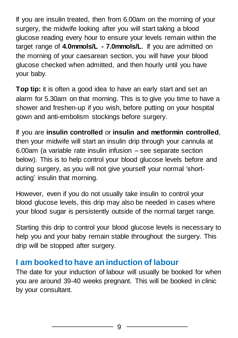If you are insulin treated, then from 6.00am on the morning of your surgery, the midwife looking after you will start taking a blood glucose reading every hour to ensure your levels remain within the target range of **4.0mmols/L - 7.0mmols/L**. If you are admitted on the morning of your caesarean section, you will have your blood glucose checked when admitted, and then hourly until you have your baby.

**Top tip:** it is often a good idea to have an early start and set an alarm for 5.30am on that morning. This is to give you time to have a shower and freshen-up if you wish, before putting on your hospital gown and anti-embolism stockings before surgery.

If you are **insulin controlled** or **insulin and metformin controlled**, then your midwife will start an insulin drip through your cannula at 6.00am (a variable rate insulin infusion – see separate section below). This is to help control your blood glucose levels before and during surgery, as you will not give yourself your normal 'shortacting' insulin that morning.

However, even if you do not usually take insulin to control your blood glucose levels, this drip may also be needed in cases where your blood sugar is persistently outside of the normal target range.

Starting this drip to control your blood glucose levels is necessary to help you and your baby remain stable throughout the surgery. This drip will be stopped after surgery.

#### **I am booked to have an induction of labour**

The date for your induction of labour will usually be booked for when you are around 39-40 weeks pregnant. This will be booked in clinic by your consultant.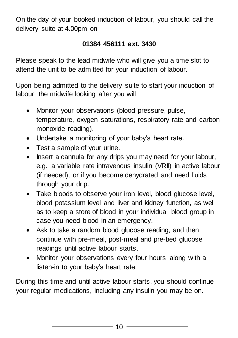On the day of your booked induction of labour, you should call the delivery suite at 4.00pm on

#### **01384 456111 ext. 3430**

Please speak to the lead midwife who will give you a time slot to attend the unit to be admitted for your induction of labour.

Upon being admitted to the delivery suite to start your induction of labour, the midwife looking after you will

- Monitor your observations (blood pressure, pulse, temperature, oxygen saturations, respiratory rate and carbon monoxide reading).
- Undertake a monitoring of your baby's heart rate.
- Test a sample of your urine.
- Insert a cannula for any drips you may need for your labour, e.g. a variable rate intravenous insulin (VRII) in active labour (if needed), or if you become dehydrated and need fluids through your drip.
- Take bloods to observe your iron level, blood glucose level, blood potassium level and liver and kidney function, as well as to keep a store of blood in your individual blood group in case you need blood in an emergency.
- Ask to take a random blood glucose reading, and then continue with pre-meal, post-meal and pre-bed glucose readings until active labour starts.
- Monitor your observations every four hours, along with a listen-in to your baby's heart rate.

During this time and until active labour starts, you should continue your regular medications, including any insulin you may be on.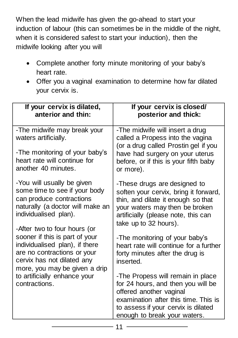When the lead midwife has given the go-ahead to start your induction of labour (this can sometimes be in the middle of the night, when it is considered safest to start your induction), then the midwife looking after you will

- Complete another forty minute monitoring of your baby's heart rate.
- Offer you a vaginal examination to determine how far dilated your cervix is.

| If your cervix is dilated,<br>anterior and thin:                                                                                                                                     | If your cervix is closed/<br>posterior and thick:                                                                                                                                                                 |
|--------------------------------------------------------------------------------------------------------------------------------------------------------------------------------------|-------------------------------------------------------------------------------------------------------------------------------------------------------------------------------------------------------------------|
| -The midwife may break your<br>waters artificially.<br>-The monitoring of your baby's<br>heart rate will continue for<br>another 40 minutes.                                         | -The midwife will insert a drug<br>called a Propess into the vagina<br>(or a drug called Prostin gel if you<br>have had surgery on your uterus<br>before, or if this is your fifth baby<br>or more).              |
| -You will usually be given<br>some time to see if your body<br>can produce contractions<br>naturally (a doctor will make an<br>individualised plan).<br>-After two to four hours (or | -These drugs are designed to<br>soften your cervix, bring it forward,<br>thin, and dilate it enough so that<br>your waters may then be broken<br>artificially (please note, this can<br>take up to 32 hours).     |
| sooner if this is part of your<br>individualised plan), if there<br>are no contractions or your<br>cervix has not dilated any<br>more, you may be given a drip                       | -The monitoring of your baby's<br>heart rate will continue for a further<br>forty minutes after the drug is<br>inserted.                                                                                          |
| to artificially enhance your<br>contractions.                                                                                                                                        | -The Propess will remain in place<br>for 24 hours, and then you will be<br>offered another vaginal<br>examination after this time. This is<br>to assess if your cervix is dilated<br>enough to break your waters. |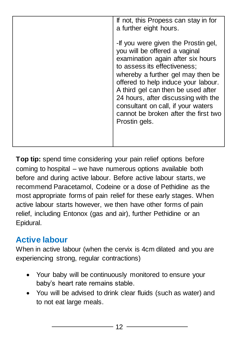| If not, this Propess can stay in for<br>a further eight hours.                                                                                                                                                                                                                                                                                                                                    |
|---------------------------------------------------------------------------------------------------------------------------------------------------------------------------------------------------------------------------------------------------------------------------------------------------------------------------------------------------------------------------------------------------|
| -If you were given the Prostin gel,<br>you will be offered a vaginal<br>examination again after six hours<br>to assess its effectiveness;<br>whereby a further gel may then be<br>offered to help induce your labour.<br>A third gel can then be used after<br>24 hours, after discussing with the<br>consultant on call, if your waters<br>cannot be broken after the first two<br>Prostin gels. |
|                                                                                                                                                                                                                                                                                                                                                                                                   |

**Top tip:** spend time considering your pain relief options before coming to hospital – we have numerous options available both before and during active labour. Before active labour starts, we recommend Paracetamol, Codeine or a dose of Pethidine as the most appropriate forms of pain relief for these early stages. When active labour starts however, we then have other forms of pain relief, including Entonox (gas and air), further Pethidine or an Epidural.

## **Active labour**

When in active labour (when the cervix is 4cm dilated and you are experiencing strong, regular contractions)

- Your baby will be continuously monitored to ensure your baby's heart rate remains stable.
- You will be advised to drink clear fluids (such as water) and to not eat large meals.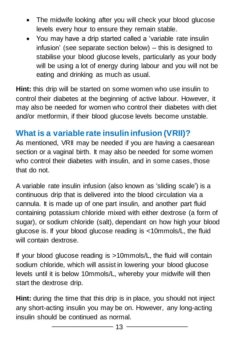- The midwife looking after you will check your blood glucose levels every hour to ensure they remain stable.
- You may have a drip started called a 'variable rate insulin infusion' (see separate section below) – this is designed to stabilise your blood glucose levels, particularly as your body will be using a lot of energy during labour and you will not be eating and drinking as much as usual.

**Hint:** this drip will be started on some women who use insulin to control their diabetes at the beginning of active labour. However, it may also be needed for women who control their diabetes with diet and/or metformin, if their blood glucose levels become unstable.

## **What is a variable rate insulin infusion (VRII)?**

As mentioned, VRII may be needed if you are having a caesarean section or a vaginal birth. It may also be needed for some women who control their diabetes with insulin, and in some cases, those that do not.

A variable rate insulin infusion (also known as 'sliding scale') is a continuous drip that is delivered into the blood circulation via a cannula. It is made up of one part insulin, and another part fluid containing potassium chloride mixed with either dextrose (a form of sugar), or sodium chloride (salt), dependant on how high your blood glucose is. If your blood glucose reading is <10mmols/L, the fluid will contain dextrose.

If your blood glucose reading is >10mmols/L, the fluid will contain sodium chloride, which will assist in lowering your blood glucose levels until it is below 10mmols/L, whereby your midwife will then start the dextrose drip.

**Hint:** during the time that this drip is in place, you should not inject any short-acting insulin you may be on. However, any long-acting insulin should be continued as normal.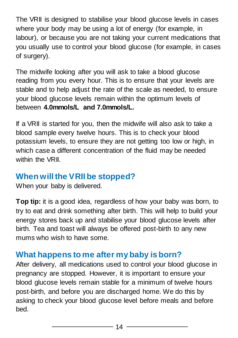The VRII is designed to stabilise your blood glucose levels in cases where your body may be using a lot of energy (for example, in labour), or because you are not taking your current medications that you usually use to control your blood glucose (for example, in cases of surgery).

The midwife looking after you will ask to take a blood glucose reading from you every hour. This is to ensure that your levels are stable and to help adjust the rate of the scale as needed, to ensure your blood glucose levels remain within the optimum levels of between **4.0mmols/L and 7.0mmols/L.**

If a VRII is started for you, then the midwife will also ask to take a blood sample every twelve hours. This is to check your blood potassium levels, to ensure they are not getting too low or high, in which case a different concentration of the fluid may be needed within the VRII

#### **When will the VRII be stopped?**

When your baby is delivered.

**Top tip:** it is a good idea, regardless of how your baby was born, to try to eat and drink something after birth. This will help to build your energy stores back up and stabilise your blood glucose levels after birth. Tea and toast will always be offered post-birth to any new mums who wish to have some.

#### **What happens to me after my baby is born?**

After delivery, all medications used to control your blood glucose in pregnancy are stopped. However, it is important to ensure your blood glucose levels remain stable for a minimum of twelve hours post-birth, and before you are discharged home. We do this by asking to check your blood glucose level before meals and before bed.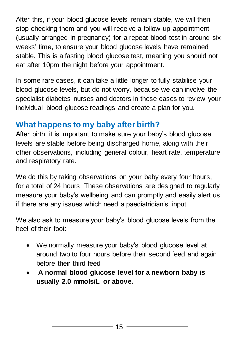After this, if your blood glucose levels remain stable, we will then stop checking them and you will receive a follow-up appointment (usually arranged in pregnancy) for a repeat blood test in around six weeks' time, to ensure your blood glucose levels have remained stable. This is a fasting blood glucose test, meaning you should not eat after 10pm the night before your appointment.

In some rare cases, it can take a little longer to fully stabilise your blood glucose levels, but do not worry, because we can involve the specialist diabetes nurses and doctors in these cases to review your individual blood glucose readings and create a plan for you.

### **What happens to my baby after birth?**

After birth, it is important to make sure your baby's blood glucose levels are stable before being discharged home, along with their other observations, including general colour, heart rate, temperature and respiratory rate.

We do this by taking observations on your baby every four hours, for a total of 24 hours. These observations are designed to regularly measure your baby's wellbeing and can promptly and easily alert us if there are any issues which need a paediatrician's input.

We also ask to measure your baby's blood glucose levels from the heel of their foot:

- We normally measure your baby's blood glucose level at around two to four hours before their second feed and again before their third feed
- **A normal blood glucose level for a newborn baby is usually 2.0 mmols/L or above.**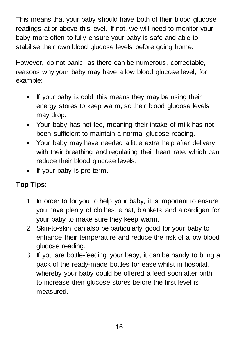This means that your baby should have both of their blood glucose readings at or above this level. If not, we will need to monitor your baby more often to fully ensure your baby is safe and able to stabilise their own blood glucose levels before going home.

However, do not panic, as there can be numerous, correctable, reasons why your baby may have a low blood glucose level, for example:

- If your baby is cold, this means they may be using their energy stores to keep warm, so their blood glucose levels may drop.
- Your baby has not fed, meaning their intake of milk has not been sufficient to maintain a normal glucose reading.
- Your baby may have needed a little extra help after delivery with their breathing and regulating their heart rate, which can reduce their blood glucose levels.
- If your baby is pre-term.

#### **Top Tips:**

- 1. In order to for you to help your baby, it is important to ensure you have plenty of clothes, a hat, blankets and a cardigan for your baby to make sure they keep warm.
- 2. Skin-to-skin can also be particularly good for your baby to enhance their temperature and reduce the risk of a low blood glucose reading.
- 3. If you are bottle-feeding your baby, it can be handy to bring a pack of the ready-made bottles for ease whilst in hospital, whereby your baby could be offered a feed soon after birth, to increase their glucose stores before the first level is measured.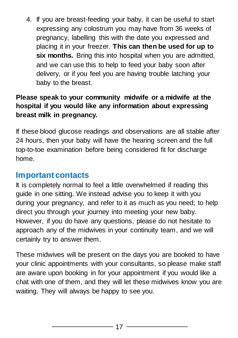4. If you are breast-feeding your baby, it can be useful to start expressing any colostrum you may have from 36 weeks of pregnancy, labelling this with the date you expressed and placing it in your freezer. **This can then be used for up to six months.** Bring this into hospital when you are admitted, and we can use this to help to feed your baby soon after delivery, or if you feel you are having trouble latching your baby to the breast.

#### **Please speak to your community midwife or a midwife at the hospital if you would like any information about expressing breast milk in pregnancy.**

If these blood glucose readings and observations are all stable after 24 hours, then your baby will have the hearing screen and the full top-to-toe examination before being considered fit for discharge home.

#### **Important contacts**

It is completely normal to feel a little overwhelmed if reading this guide in one sitting. We instead advise you to keep it with you during your pregnancy, and refer to it as much as you need; to help direct you through your journey into meeting your new baby. However, if you do have any questions, please do not hesitate to approach any of the midwives in your continuity team, and we will certainly try to answer them.

These midwives will be present on the days you are booked to have your clinic appointments with your consultants, so please make staff are aware upon booking in for your appointment if you would like a chat with one of them, and they will let these midwives know you are waiting. They will always be happy to see you.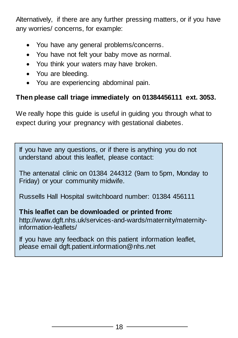Alternatively, if there are any further pressing matters, or if you have any worries/ concerns, for example:

- You have any general problems/concerns.
- You have not felt your baby move as normal.
- You think your waters may have broken.
- You are bleeding.
- You are experiencing abdominal pain.

#### **Then please call triage immediately on 01384456111 ext. 3053.**

We really hope this guide is useful in guiding you through what to expect during your pregnancy with gestational diabetes.

If you have any questions, or if there is anything you do not understand about this leaflet, please contact:

The antenatal clinic on 01384 244312 (9am to 5pm, Monday to Friday) or your community midwife.

Russells Hall Hospital switchboard number: 01384 456111

#### **This leaflet can be downloaded or printed from:**

[http://www.dgft.nhs.uk/services-and-wards/maternity/maternity](http://www.dgft.nhs.uk/services-and-wards/maternity/maternity-information-leaflets/)[information-leaflets/](http://www.dgft.nhs.uk/services-and-wards/maternity/maternity-information-leaflets/)

If you have any feedback on this patient information leaflet, please email dgft.patient.information@nhs.net